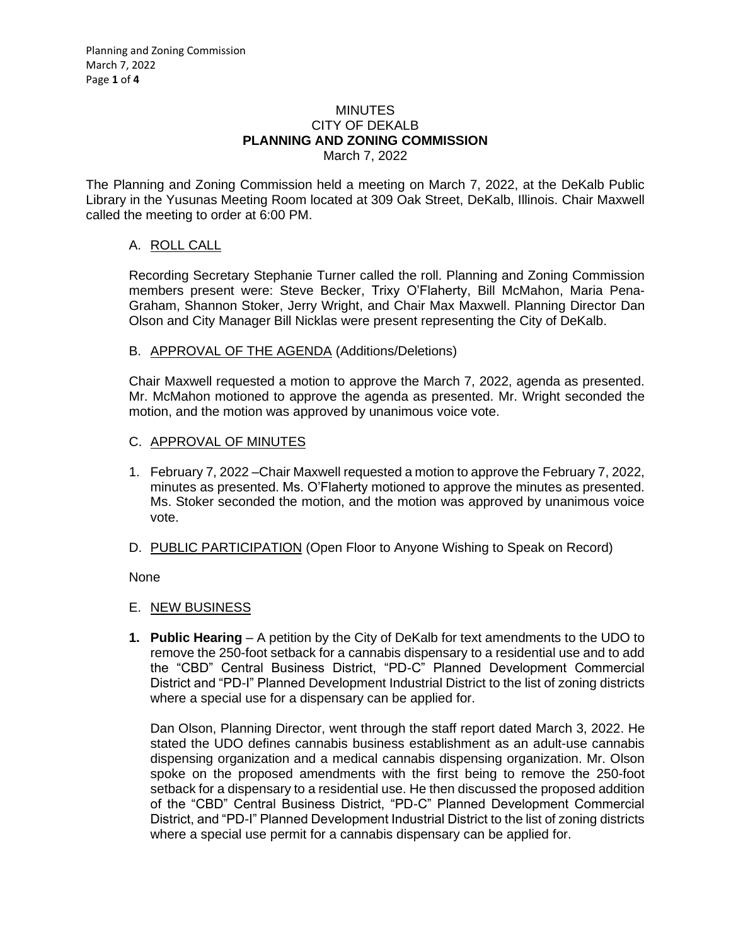#### MINUTES CITY OF DEKALB **PLANNING AND ZONING COMMISSION** March 7, 2022

The Planning and Zoning Commission held a meeting on March 7, 2022, at the DeKalb Public Library in the Yusunas Meeting Room located at 309 Oak Street, DeKalb, Illinois. Chair Maxwell called the meeting to order at 6:00 PM.

# A. ROLL CALL

Recording Secretary Stephanie Turner called the roll. Planning and Zoning Commission members present were: Steve Becker, Trixy O'Flaherty, Bill McMahon, Maria Pena-Graham, Shannon Stoker, Jerry Wright, and Chair Max Maxwell. Planning Director Dan Olson and City Manager Bill Nicklas were present representing the City of DeKalb.

## B. APPROVAL OF THE AGENDA (Additions/Deletions)

Chair Maxwell requested a motion to approve the March 7, 2022, agenda as presented. Mr. McMahon motioned to approve the agenda as presented. Mr. Wright seconded the motion, and the motion was approved by unanimous voice vote.

### C. APPROVAL OF MINUTES

- 1. February 7, 2022 –Chair Maxwell requested a motion to approve the February 7, 2022, minutes as presented. Ms. O'Flaherty motioned to approve the minutes as presented. Ms. Stoker seconded the motion, and the motion was approved by unanimous voice vote.
- D. PUBLIC PARTICIPATION (Open Floor to Anyone Wishing to Speak on Record)

None

## E. NEW BUSINESS

**1. Public Hearing** – A petition by the City of DeKalb for text amendments to the UDO to remove the 250-foot setback for a cannabis dispensary to a residential use and to add the "CBD" Central Business District, "PD-C" Planned Development Commercial District and "PD-I" Planned Development Industrial District to the list of zoning districts where a special use for a dispensary can be applied for.

Dan Olson, Planning Director, went through the staff report dated March 3, 2022. He stated the UDO defines cannabis business establishment as an adult-use cannabis dispensing organization and a medical cannabis dispensing organization. Mr. Olson spoke on the proposed amendments with the first being to remove the 250-foot setback for a dispensary to a residential use. He then discussed the proposed addition of the "CBD" Central Business District, "PD-C" Planned Development Commercial District, and "PD-I" Planned Development Industrial District to the list of zoning districts where a special use permit for a cannabis dispensary can be applied for.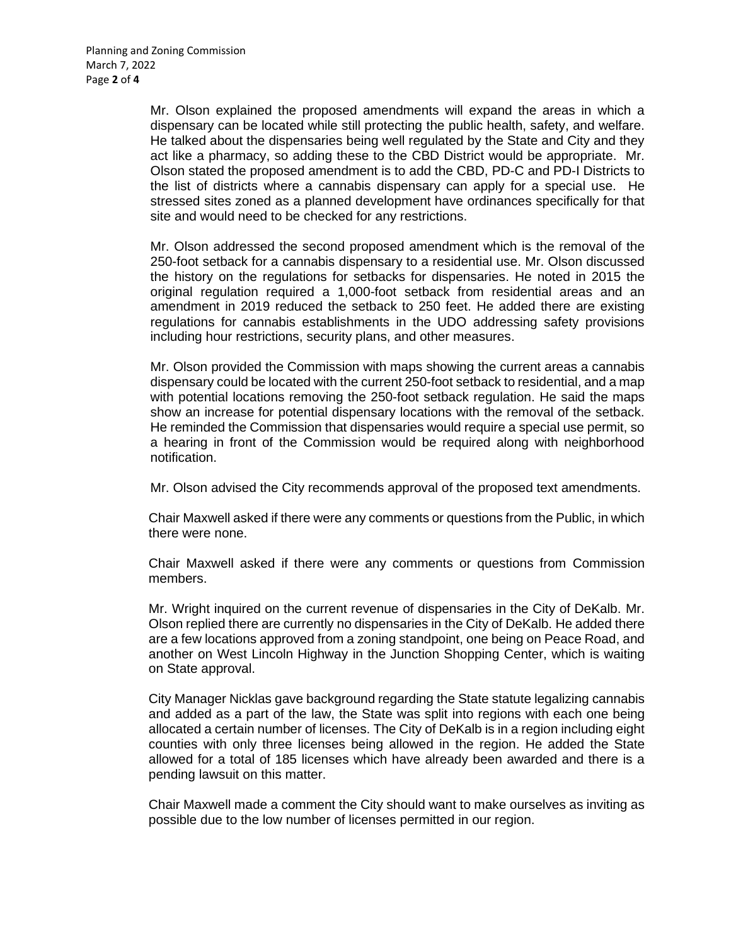Mr. Olson explained the proposed amendments will expand the areas in which a dispensary can be located while still protecting the public health, safety, and welfare. He talked about the dispensaries being well regulated by the State and City and they act like a pharmacy, so adding these to the CBD District would be appropriate. Mr. Olson stated the proposed amendment is to add the CBD, PD-C and PD-I Districts to the list of districts where a cannabis dispensary can apply for a special use. He stressed sites zoned as a planned development have ordinances specifically for that site and would need to be checked for any restrictions.

Mr. Olson addressed the second proposed amendment which is the removal of the 250-foot setback for a cannabis dispensary to a residential use. Mr. Olson discussed the history on the regulations for setbacks for dispensaries. He noted in 2015 the original regulation required a 1,000-foot setback from residential areas and an amendment in 2019 reduced the setback to 250 feet. He added there are existing regulations for cannabis establishments in the UDO addressing safety provisions including hour restrictions, security plans, and other measures.

Mr. Olson provided the Commission with maps showing the current areas a cannabis dispensary could be located with the current 250-foot setback to residential, and a map with potential locations removing the 250-foot setback regulation. He said the maps show an increase for potential dispensary locations with the removal of the setback. He reminded the Commission that dispensaries would require a special use permit, so a hearing in front of the Commission would be required along with neighborhood notification.

Mr. Olson advised the City recommends approval of the proposed text amendments.

Chair Maxwell asked if there were any comments or questions from the Public, in which there were none.

Chair Maxwell asked if there were any comments or questions from Commission members.

Mr. Wright inquired on the current revenue of dispensaries in the City of DeKalb. Mr. Olson replied there are currently no dispensaries in the City of DeKalb. He added there are a few locations approved from a zoning standpoint, one being on Peace Road, and another on West Lincoln Highway in the Junction Shopping Center, which is waiting on State approval.

City Manager Nicklas gave background regarding the State statute legalizing cannabis and added as a part of the law, the State was split into regions with each one being allocated a certain number of licenses. The City of DeKalb is in a region including eight counties with only three licenses being allowed in the region. He added the State allowed for a total of 185 licenses which have already been awarded and there is a pending lawsuit on this matter.

Chair Maxwell made a comment the City should want to make ourselves as inviting as possible due to the low number of licenses permitted in our region.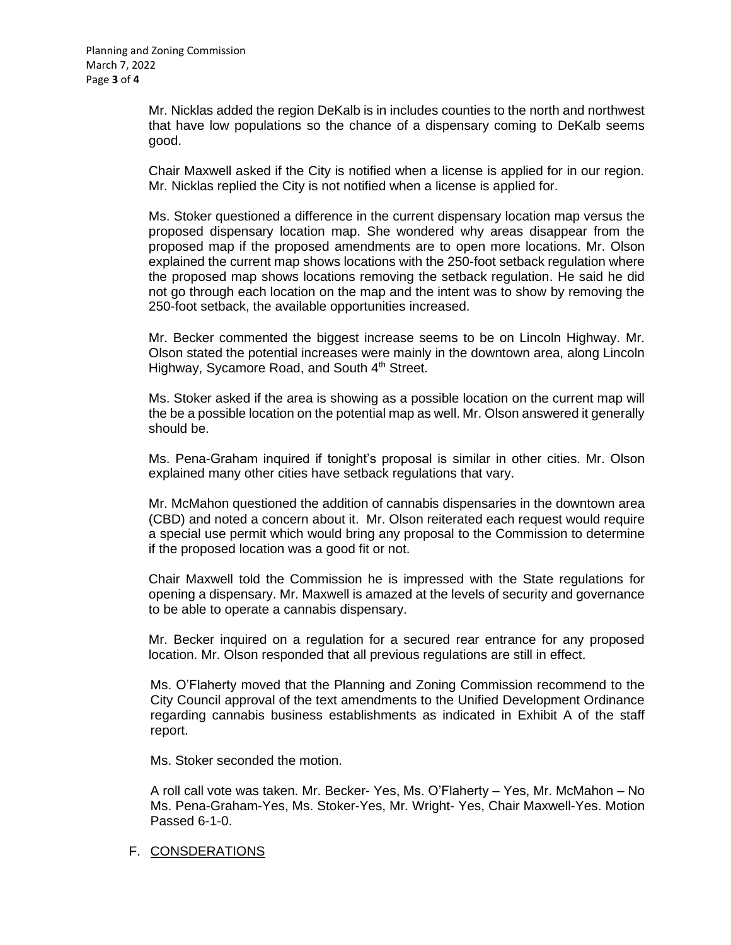Mr. Nicklas added the region DeKalb is in includes counties to the north and northwest that have low populations so the chance of a dispensary coming to DeKalb seems good.

Chair Maxwell asked if the City is notified when a license is applied for in our region. Mr. Nicklas replied the City is not notified when a license is applied for.

Ms. Stoker questioned a difference in the current dispensary location map versus the proposed dispensary location map. She wondered why areas disappear from the proposed map if the proposed amendments are to open more locations. Mr. Olson explained the current map shows locations with the 250-foot setback regulation where the proposed map shows locations removing the setback regulation. He said he did not go through each location on the map and the intent was to show by removing the 250-foot setback, the available opportunities increased.

Mr. Becker commented the biggest increase seems to be on Lincoln Highway. Mr. Olson stated the potential increases were mainly in the downtown area, along Lincoln Highway, Sycamore Road, and South 4<sup>th</sup> Street.

Ms. Stoker asked if the area is showing as a possible location on the current map will the be a possible location on the potential map as well. Mr. Olson answered it generally should be.

Ms. Pena-Graham inquired if tonight's proposal is similar in other cities. Mr. Olson explained many other cities have setback regulations that vary.

Mr. McMahon questioned the addition of cannabis dispensaries in the downtown area (CBD) and noted a concern about it. Mr. Olson reiterated each request would require a special use permit which would bring any proposal to the Commission to determine if the proposed location was a good fit or not.

Chair Maxwell told the Commission he is impressed with the State regulations for opening a dispensary. Mr. Maxwell is amazed at the levels of security and governance to be able to operate a cannabis dispensary.

Mr. Becker inquired on a regulation for a secured rear entrance for any proposed location. Mr. Olson responded that all previous regulations are still in effect.

Ms. O'Flaherty moved that the Planning and Zoning Commission recommend to the City Council approval of the text amendments to the Unified Development Ordinance regarding cannabis business establishments as indicated in Exhibit A of the staff report.

Ms. Stoker seconded the motion.

A roll call vote was taken. Mr. Becker- Yes, Ms. O'Flaherty – Yes, Mr. McMahon – No Ms. Pena-Graham-Yes, Ms. Stoker-Yes, Mr. Wright- Yes, Chair Maxwell-Yes. Motion Passed 6-1-0.

### F. CONSDERATIONS